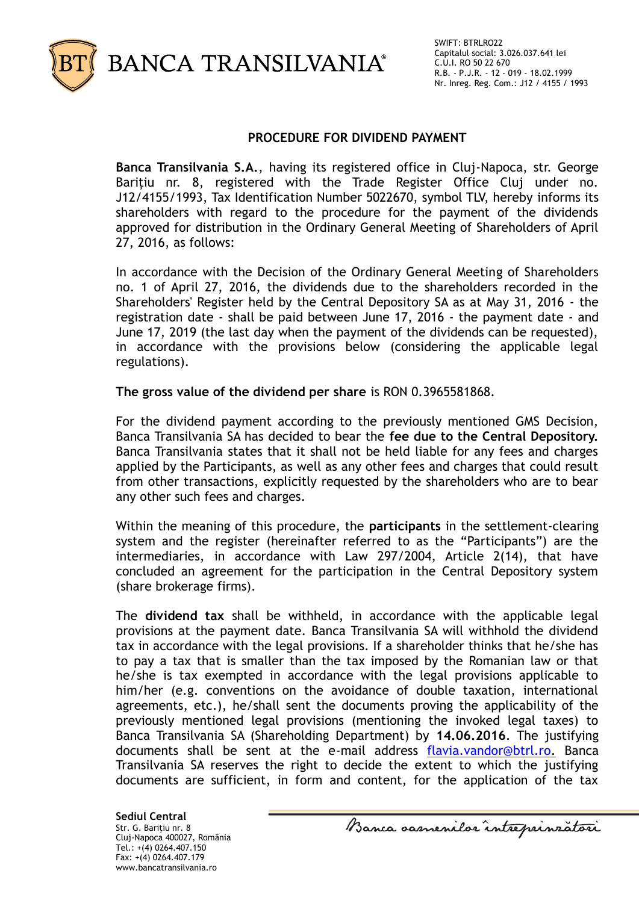

### **PROCEDURE FOR DIVIDEND PAYMENT**

**Banca Transilvania S.A.**, having its registered office in Cluj-Napoca, str. George Barițiu nr. 8, registered with the Trade Register Office Cluj under no. J12/4155/1993, Tax Identification Number 5022670, symbol TLV, hereby informs its shareholders with regard to the procedure for the payment of the dividends approved for distribution in the Ordinary General Meeting of Shareholders of April 27, 2016, as follows:

In accordance with the Decision of the Ordinary General Meeting of Shareholders no. 1 of April 27, 2016, the dividends due to the shareholders recorded in the Shareholders' Register held by the Central Depository SA as at May 31, 2016 - the registration date - shall be paid between June 17, 2016 - the payment date - and June 17, 2019 (the last day when the payment of the dividends can be requested), in accordance with the provisions below (considering the applicable legal regulations).

**The gross value of the dividend per share** is RON 0.3965581868.

For the dividend payment according to the previously mentioned GMS Decision, Banca Transilvania SA has decided to bear the **fee due to the Central Depository.** Banca Transilvania states that it shall not be held liable for any fees and charges applied by the Participants, as well as any other fees and charges that could result from other transactions, explicitly requested by the shareholders who are to bear any other such fees and charges.

Within the meaning of this procedure, the **participants** in the settlement-clearing system and the register (hereinafter referred to as the "Participants") are the intermediaries, in accordance with Law 297/2004, Article 2(14), that have concluded an agreement for the participation in the Central Depository system (share brokerage firms).

The **dividend tax** shall be withheld, in accordance with the applicable legal provisions at the payment date. Banca Transilvania SA will withhold the dividend tax in accordance with the legal provisions. If a shareholder thinks that he/she has to pay a tax that is smaller than the tax imposed by the Romanian law or that he/she is tax exempted in accordance with the legal provisions applicable to him/her (e.g. conventions on the avoidance of double taxation, international agreements, etc.), he/shall sent the documents proving the applicability of the previously mentioned legal provisions (mentioning the invoked legal taxes) to Banca Transilvania SA (Shareholding Department) by **14.06.2016**. The justifying documents shall be sent at the e-mail address [flavia.vandor@btrl.ro.](mailto:flavia.vandor@btrl.ro) Banca Transilvania SA reserves the right to decide the extent to which the justifying documents are sufficient, in form and content, for the application of the tax

**Sediul Central** Str. G. Bariţiu nr. 8 Cluj-Napoca 400027, România Tel.: +(4) 0264.407.150 Fax: +(4) 0264.407.179 www.bancatransilvania.ro

Banca samenilor intreprinzatori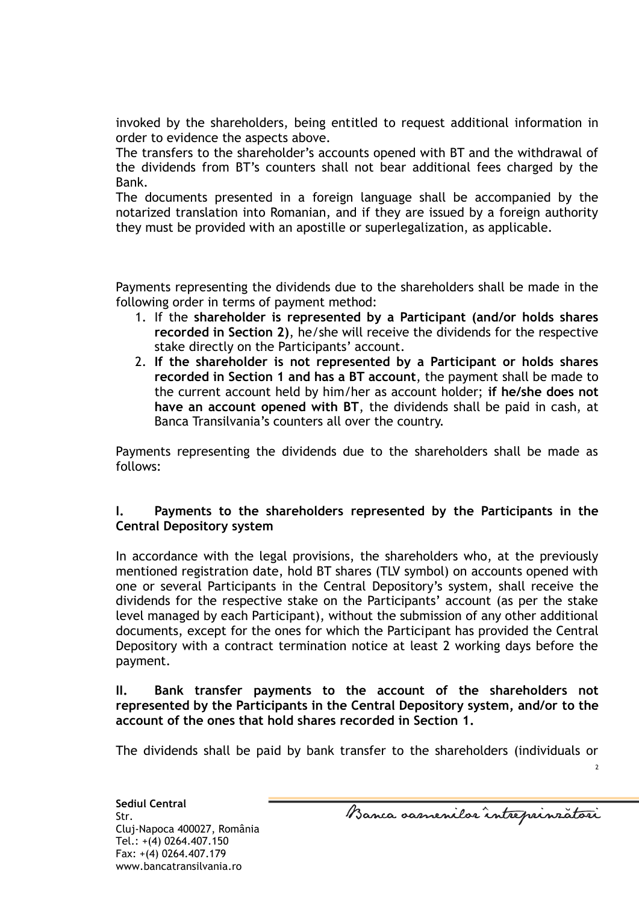invoked by the shareholders, being entitled to request additional information in order to evidence the aspects above.

The transfers to the shareholder's accounts opened with BT and the withdrawal of the dividends from BT's counters shall not bear additional fees charged by the Bank.

The documents presented in a foreign language shall be accompanied by the notarized translation into Romanian, and if they are issued by a foreign authority they must be provided with an apostille or superlegalization, as applicable.

Payments representing the dividends due to the shareholders shall be made in the following order in terms of payment method:

- 1. If the **shareholder is represented by a Participant (and/or holds shares recorded in Section 2)**, he/she will receive the dividends for the respective stake directly on the Participants' account.
- 2. **If the shareholder is not represented by a Participant or holds shares recorded in Section 1 and has a BT account**, the payment shall be made to the current account held by him/her as account holder; **if he/she does not have an account opened with BT**, the dividends shall be paid in cash, at Banca Transilvania's counters all over the country.

Payments representing the dividends due to the shareholders shall be made as follows:

# **I. Payments to the shareholders represented by the Participants in the Central Depository system**

In accordance with the legal provisions, the shareholders who, at the previously mentioned registration date, hold BT shares (TLV symbol) on accounts opened with one or several Participants in the Central Depository's system, shall receive the dividends for the respective stake on the Participants' account (as per the stake level managed by each Participant), without the submission of any other additional documents, except for the ones for which the Participant has provided the Central Depository with a contract termination notice at least 2 working days before the payment.

# **II. Bank transfer payments to the account of the shareholders not represented by the Participants in the Central Depository system, and/or to the account of the ones that hold shares recorded in Section 1.**

The dividends shall be paid by bank transfer to the shareholders (individuals or

 $\overline{2}$ 

**Sediul Central** Str. Cluj-Napoca 400027, România Tel.: +(4) 0264.407.150 Fax: +(4) 0264.407.179 www.bancatransilvania.ro

Banca samenilar intreprinzatori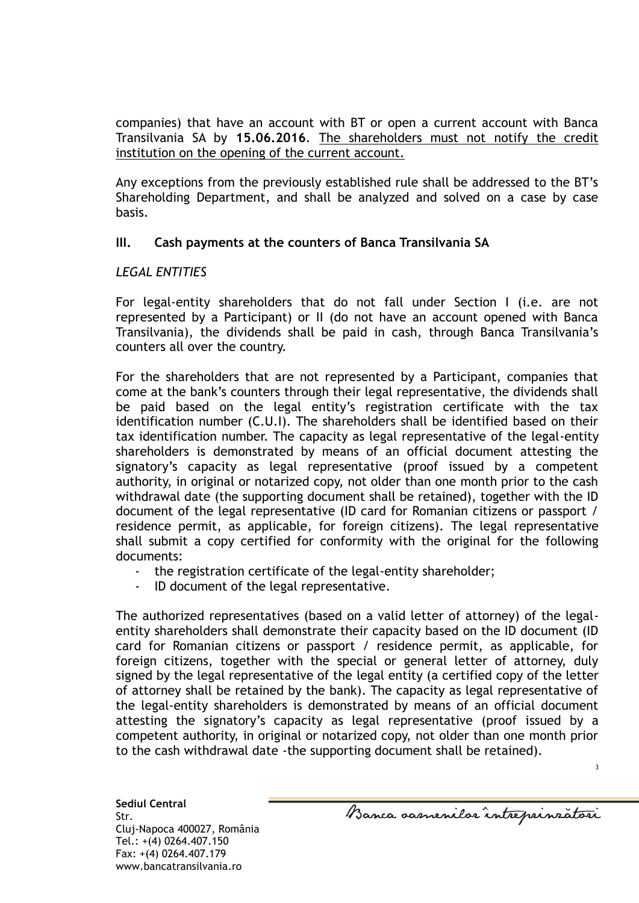companies) that have an account with BT or open a current account with Banca Transilvania SA by **15.06.2016**. The shareholders must not notify the credit institution on the opening of the current account.

Any exceptions from the previously established rule shall be addressed to the BT's Shareholding Department, and shall be analyzed and solved on a case by case basis.

# **III. Cash payments at the counters of Banca Transilvania SA**

# *LEGAL ENTITIES*

For legal-entity shareholders that do not fall under Section I (i.e. are not represented by a Participant) or II (do not have an account opened with Banca Transilvania), the dividends shall be paid in cash, through Banca Transilvania's counters all over the country.

For the shareholders that are not represented by a Participant, companies that come at the bank's counters through their legal representative, the dividends shall be paid based on the legal entity's registration certificate with the tax identification number (C.U.I). The shareholders shall be identified based on their tax identification number. The capacity as legal representative of the legal-entity shareholders is demonstrated by means of an official document attesting the signatory's capacity as legal representative (proof issued by a competent authority, in original or notarized copy, not older than one month prior to the cash withdrawal date (the supporting document shall be retained), together with the ID document of the legal representative (ID card for Romanian citizens or passport / residence permit, as applicable, for foreign citizens). The legal representative shall submit a copy certified for conformity with the original for the following documents:

- the registration certificate of the legal-entity shareholder;
- ID document of the legal representative.

The authorized representatives (based on a valid letter of attorney) of the legalentity shareholders shall demonstrate their capacity based on the ID document (ID card for Romanian citizens or passport / residence permit, as applicable, for foreign citizens, together with the special or general letter of attorney, duly signed by the legal representative of the legal entity (a certified copy of the letter of attorney shall be retained by the bank). The capacity as legal representative of the legal-entity shareholders is demonstrated by means of an official document attesting the signatory's capacity as legal representative (proof issued by a competent authority, in original or notarized copy, not older than one month prior to the cash withdrawal date -the supporting document shall be retained).

**Sediul Central** Str. Cluj-Napoca 400027, România Tel.: +(4) 0264.407.150 Fax: +(4) 0264.407.179 www.bancatransilvania.ro

Banca samenilor intreprinzatori

3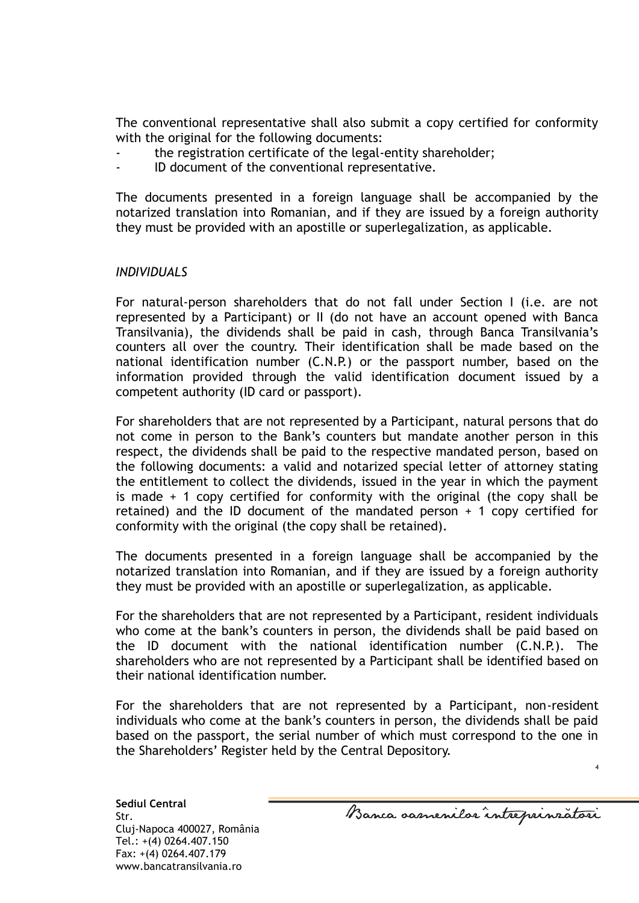The conventional representative shall also submit a copy certified for conformity with the original for the following documents:

- the registration certificate of the legal-entity shareholder;
- ID document of the conventional representative.

The documents presented in a foreign language shall be accompanied by the notarized translation into Romanian, and if they are issued by a foreign authority they must be provided with an apostille or superlegalization, as applicable.

### *INDIVIDUALS*

For natural-person shareholders that do not fall under Section I (i.e. are not represented by a Participant) or II (do not have an account opened with Banca Transilvania), the dividends shall be paid in cash, through Banca Transilvania's counters all over the country. Their identification shall be made based on the national identification number (C.N.P.) or the passport number, based on the information provided through the valid identification document issued by a competent authority (ID card or passport).

For shareholders that are not represented by a Participant, natural persons that do not come in person to the Bank's counters but mandate another person in this respect, the dividends shall be paid to the respective mandated person, based on the following documents: a valid and notarized special letter of attorney stating the entitlement to collect the dividends, issued in the year in which the payment is made + 1 copy certified for conformity with the original (the copy shall be retained) and the ID document of the mandated person  $+$  1 copy certified for conformity with the original (the copy shall be retained).

The documents presented in a foreign language shall be accompanied by the notarized translation into Romanian, and if they are issued by a foreign authority they must be provided with an apostille or superlegalization, as applicable.

For the shareholders that are not represented by a Participant, resident individuals who come at the bank's counters in person, the dividends shall be paid based on the ID document with the national identification number (C.N.P.). The shareholders who are not represented by a Participant shall be identified based on their national identification number.

For the shareholders that are not represented by a Participant, non-resident individuals who come at the bank's counters in person, the dividends shall be paid based on the passport, the serial number of which must correspond to the one in the Shareholders' Register held by the Central Depository.

**Sediul Central** Str. Cluj-Napoca 400027, România Tel.: +(4) 0264.407.150 Fax: +(4) 0264.407.179 www.bancatransilvania.ro

Banca samenilar intreprinzatori

4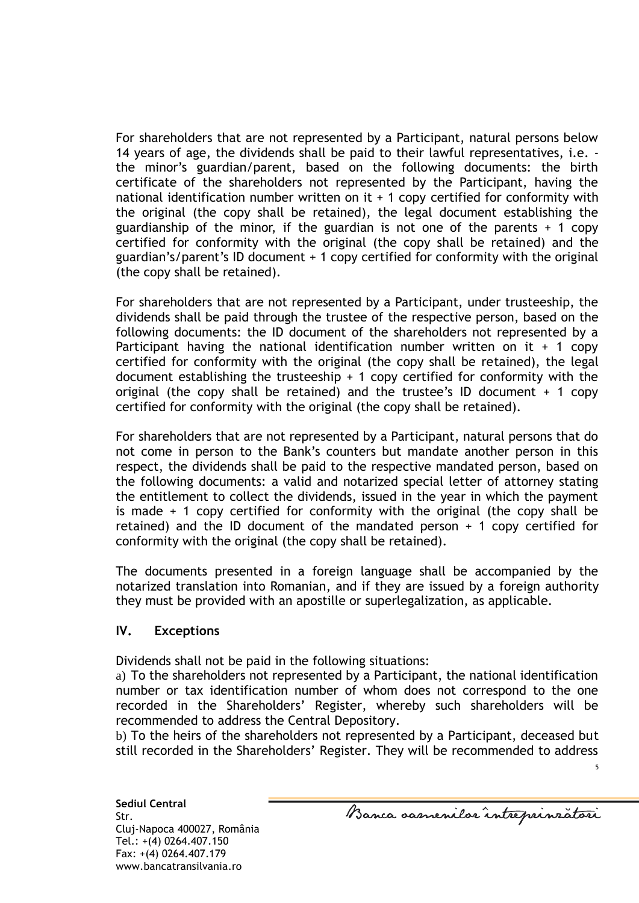For shareholders that are not represented by a Participant, natural persons below 14 years of age, the dividends shall be paid to their lawful representatives, i.e. the minor's guardian/parent, based on the following documents: the birth certificate of the shareholders not represented by the Participant, having the national identification number written on it  $+$  1 copy certified for conformity with the original (the copy shall be retained), the legal document establishing the guardianship of the minor, if the guardian is not one of the parents  $+1$  copy certified for conformity with the original (the copy shall be retained) and the guardian's/parent's ID document + 1 copy certified for conformity with the original (the copy shall be retained).

For shareholders that are not represented by a Participant, under trusteeship, the dividends shall be paid through the trustee of the respective person, based on the following documents: the ID document of the shareholders not represented by a Participant having the national identification number written on it  $+$  1 copy certified for conformity with the original (the copy shall be retained), the legal document establishing the trusteeship  $+ 1$  copy certified for conformity with the original (the copy shall be retained) and the trustee's ID document  $+$  1 copy certified for conformity with the original (the copy shall be retained).

For shareholders that are not represented by a Participant, natural persons that do not come in person to the Bank's counters but mandate another person in this respect, the dividends shall be paid to the respective mandated person, based on the following documents: a valid and notarized special letter of attorney stating the entitlement to collect the dividends, issued in the year in which the payment is made  $+$  1 copy certified for conformity with the original (the copy shall be retained) and the ID document of the mandated person  $+$  1 copy certified for conformity with the original (the copy shall be retained).

The documents presented in a foreign language shall be accompanied by the notarized translation into Romanian, and if they are issued by a foreign authority they must be provided with an apostille or superlegalization, as applicable.

# **IV. Exceptions**

Dividends shall not be paid in the following situations:

a) To the shareholders not represented by a Participant, the national identification number or tax identification number of whom does not correspond to the one recorded in the Shareholders' Register, whereby such shareholders will be recommended to address the Central Depository.

b) To the heirs of the shareholders not represented by a Participant, deceased but still recorded in the Shareholders' Register. They will be recommended to address

5

**Sediul Central** Str. Cluj-Napoca 400027, România Tel.: +(4) 0264.407.150 Fax: +(4) 0264.407.179 www.bancatransilvania.ro

Banca samenilor intreprinzatori